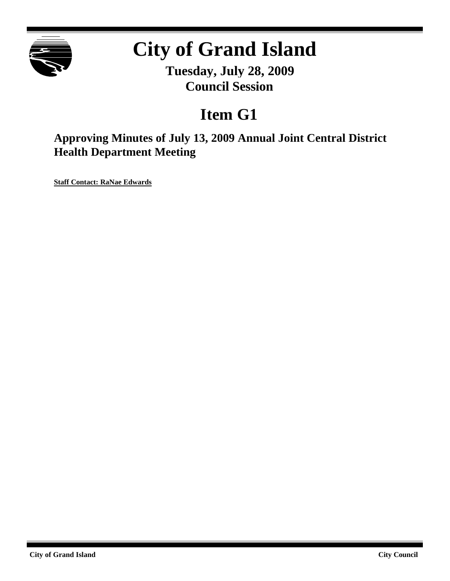

# **City of Grand Island**

**Tuesday, July 28, 2009 Council Session**

## **Item G1**

**Approving Minutes of July 13, 2009 Annual Joint Central District Health Department Meeting**

**Staff Contact: RaNae Edwards**